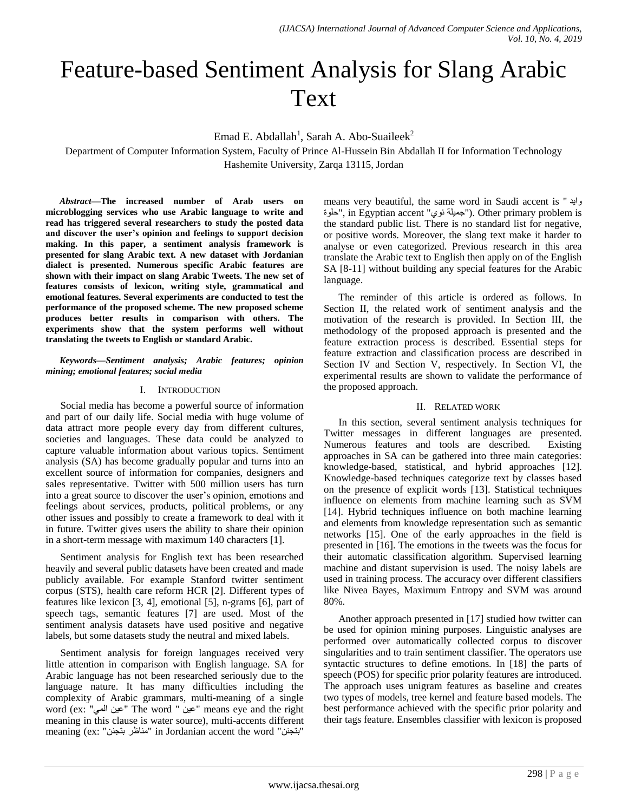# Feature-based Sentiment Analysis for Slang Arabic Text

Emad E. Abdallah<sup>1</sup>, Sarah A. Abo-Suaileek<sup>2</sup>

Department of Computer Information System, Faculty of Prince Al-Hussein Bin Abdallah II for Information Technology Hashemite University, Zarqa 13115, Jordan

*Abstract***—The increased number of Arab users on microblogging services who use Arabic language to write and read has triggered several researchers to study the posted data and discover the user's opinion and feelings to support decision making. In this paper, a sentiment analysis framework is presented for slang Arabic text. A new dataset with Jordanian dialect is presented. Numerous specific Arabic features are shown with their impact on slang Arabic Tweets. The new set of features consists of lexicon, writing style, grammatical and emotional features. Several experiments are conducted to test the performance of the proposed scheme. The new proposed scheme produces better results in comparison with others. The experiments show that the system performs well without translating the tweets to English or standard Arabic.**

*Keywords—Sentiment analysis; Arabic features; opinion mining; emotional features; social media*

#### I. INTRODUCTION

Social media has become a powerful source of information and part of our daily life. Social media with huge volume of data attract more people every day from different cultures, societies and languages. These data could be analyzed to capture valuable information about various topics. Sentiment analysis (SA) has become gradually popular and turns into an excellent source of information for companies, designers and sales representative. Twitter with 500 million users has turn into a great source to discover the user's opinion, emotions and feelings about services, products, political problems, or any other issues and possibly to create a framework to deal with it in future. Twitter gives users the ability to share their opinion in a short-term message with maximum 140 characters [1].

Sentiment analysis for English text has been researched heavily and several public datasets have been created and made publicly available. For example Stanford twitter sentiment corpus (STS), health care reform HCR [2]. Different types of features like lexicon [3, 4], emotional [5], n-grams [6], part of speech tags, semantic features [7] are used. Most of the sentiment analysis datasets have used positive and negative labels, but some datasets study the neutral and mixed labels.

Sentiment analysis for foreign languages received very little attention in comparison with English language. SA for Arabic language has not been researched seriously due to the language nature. It has many difficulties including the complexity of Arabic grammars, multi-meaning of a single word (ex: "عين المي" The word " عبين المي" means eye and the right meaning in this clause is water source), multi-accents different meaning (ex: "مناظر بتجنن" in Jordanian accent the word "

means very beautiful, the same word in Saudi accent is " وايد خلوة", in Egyptian accent "جميلة نوي"). Other primary problem is the standard public list. There is no standard list for negative, or positive words. Moreover, the slang text make it harder to analyse or even categorized. Previous research in this area translate the Arabic text to English then apply on of the English SA [8-11] without building any special features for the Arabic language.

The reminder of this article is ordered as follows. In Section II, the related work of sentiment analysis and the motivation of the research is provided. In Section III, the methodology of the proposed approach is presented and the feature extraction process is described. Essential steps for feature extraction and classification process are described in Section IV and Section V, respectively. In Section VI, the experimental results are shown to validate the performance of the proposed approach.

### II. RELATED WORK

In this section, several sentiment analysis techniques for Twitter messages in different languages are presented. Numerous features and tools are described. Existing approaches in SA can be gathered into three main categories: knowledge-based, statistical, and hybrid approaches [12]. Knowledge-based techniques categorize text by classes based on the presence of explicit words [13]. Statistical techniques influence on elements from machine learning such as SVM [14]. Hybrid techniques influence on both machine learning and elements from knowledge representation such as semantic networks [15]. One of the early approaches in the field is presented in [16]. The emotions in the tweets was the focus for their automatic classification algorithm. Supervised learning machine and distant supervision is used. The noisy labels are used in training process. The accuracy over different classifiers like Nivea Bayes, Maximum Entropy and SVM was around 80%.

Another approach presented in [17] studied how twitter can be used for opinion mining purposes. Linguistic analyses are performed over automatically collected corpus to discover singularities and to train sentiment classifier. The operators use syntactic structures to define emotions. In [18] the parts of speech (POS) for specific prior polarity features are introduced. The approach uses unigram features as baseline and creates two types of models, tree kernel and feature based models. The best performance achieved with the specific prior polarity and their tags feature. Ensembles classifier with lexicon is proposed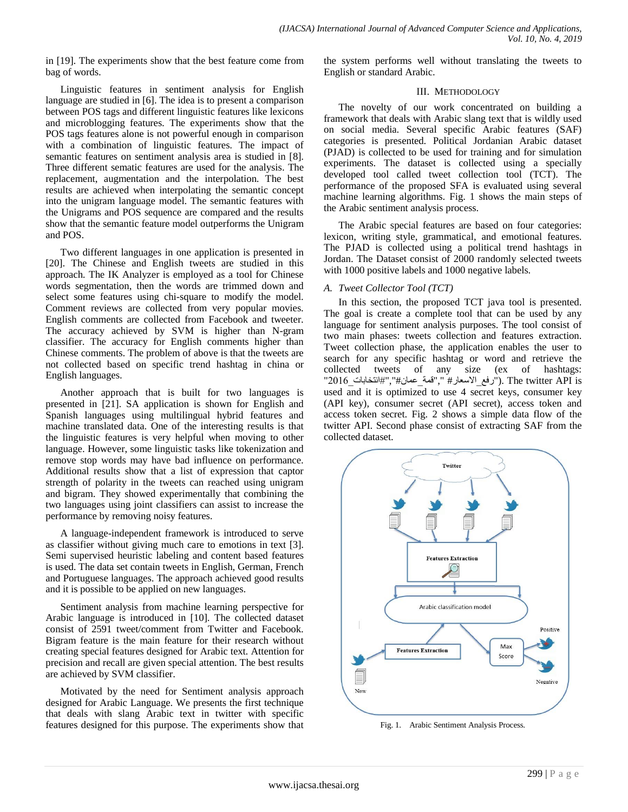in [19]. The experiments show that the best feature come from bag of words.

Linguistic features in sentiment analysis for English language are studied in [6]. The idea is to present a comparison between POS tags and different linguistic features like lexicons and microblogging features. The experiments show that the POS tags features alone is not powerful enough in comparison with a combination of linguistic features. The impact of semantic features on sentiment analysis area is studied in [8]. Three different sematic features are used for the analysis. The replacement, augmentation and the interpolation. The best results are achieved when interpolating the semantic concept into the unigram language model. The semantic features with the Unigrams and POS sequence are compared and the results show that the semantic feature model outperforms the Unigram and POS.

Two different languages in one application is presented in [20]. The Chinese and English tweets are studied in this approach. The IK Analyzer is employed as a tool for Chinese words segmentation, then the words are trimmed down and select some features using chi-square to modify the model. Comment reviews are collected from very popular movies. English comments are collected from Facebook and tweeter. The accuracy achieved by SVM is higher than N-gram classifier. The accuracy for English comments higher than Chinese comments. The problem of above is that the tweets are not collected based on specific trend hashtag in china or English languages.

Another approach that is built for two languages is presented in [21]. SA application is shown for English and Spanish languages using multilingual hybrid features and machine translated data. One of the interesting results is that the linguistic features is very helpful when moving to other language. However, some linguistic tasks like tokenization and remove stop words may have bad influence on performance. Additional results show that a list of expression that captor strength of polarity in the tweets can reached using unigram and bigram. They showed experimentally that combining the two languages using joint classifiers can assist to increase the performance by removing noisy features.

A language-independent framework is introduced to serve as classifier without giving much care to emotions in text [3]. Semi supervised heuristic labeling and content based features is used. The data set contain tweets in English, German, French and Portuguese languages. The approach achieved good results and it is possible to be applied on new languages.

Sentiment analysis from machine learning perspective for Arabic language is introduced in [10]. The collected dataset consist of 2591 tweet/comment from Twitter and Facebook. Bigram feature is the main feature for their research without creating special features designed for Arabic text. Attention for precision and recall are given special attention. The best results are achieved by SVM classifier.

Motivated by the need for Sentiment analysis approach designed for Arabic Language. We presents the first technique that deals with slang Arabic text in twitter with specific features designed for this purpose. The experiments show that the system performs well without translating the tweets to English or standard Arabic.

### III. METHODOLOGY

The novelty of our work concentrated on building a framework that deals with Arabic slang text that is wildly used on social media. Several specific Arabic features (SAF) categories is presented. Political Jordanian Arabic dataset (PJAD) is collected to be used for training and for simulation experiments. The dataset is collected using a specially developed tool called tweet collection tool (TCT). The performance of the proposed SFA is evaluated using several machine learning algorithms. Fig. 1 shows the main steps of the Arabic sentiment analysis process.

The Arabic special features are based on four categories: lexicon, writing style, grammatical, and emotional features. The PJAD is collected using a political trend hashtags in Jordan. The Dataset consist of 2000 randomly selected tweets with 1000 positive labels and 1000 negative labels.

#### *A. Tweet Collector Tool (TCT)*

In this section, the proposed TCT java tool is presented. The goal is create a complete tool that can be used by any language for sentiment analysis purposes. The tool consist of two main phases: tweets collection and features extraction. Tweet collection phase, the application enables the user to search for any specific hashtag or word and retrieve the collected tweets of any size (ex of hashtags: "كانة السعار# ","قمة عمان","#انتخابات". 2016 $\,$ "). The twitter API is used and it is optimized to use 4 secret keys, consumer key (API key), consumer secret (API secret), access token and access token secret. Fig. 2 shows a simple data flow of the twitter API. Second phase consist of extracting SAF from the collected dataset.



Fig. 1. Arabic Sentiment Analysis Process.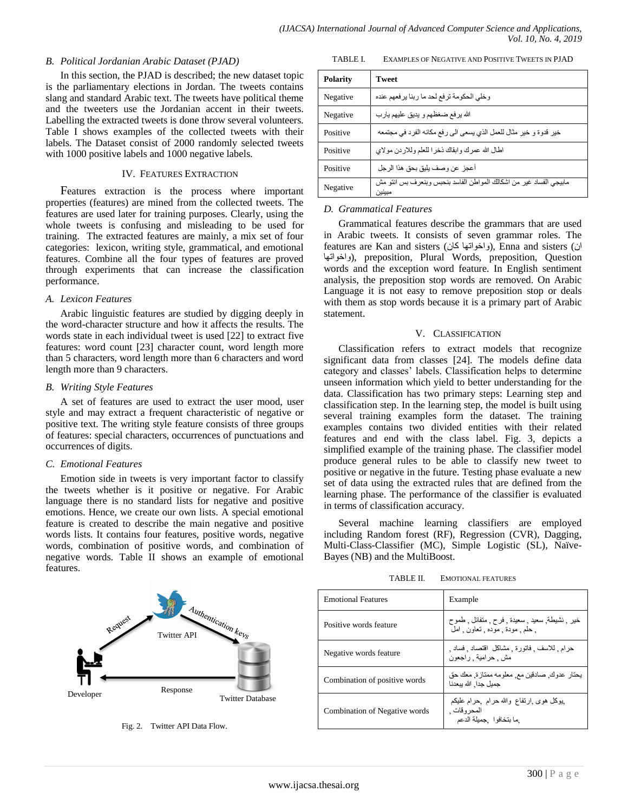### *B. Political Jordanian Arabic Dataset (PJAD)*

In this section, the PJAD is described; the new dataset topic is the parliamentary elections in Jordan. The tweets contains slang and standard Arabic text. The tweets have political theme and the tweeters use the Jordanian accent in their tweets. Labelling the extracted tweets is done throw several volunteers. Table I shows examples of the collected tweets with their labels. The Dataset consist of 2000 randomly selected tweets with 1000 positive labels and 1000 negative labels.

#### IV. FEATURES EXTRACTION

Features extraction is the process where important properties (features) are mined from the collected tweets. The features are used later for training purposes. Clearly, using the whole tweets is confusing and misleading to be used for training. The extracted features are mainly, a mix set of four categories: lexicon, writing style, grammatical, and emotional features. Combine all the four types of features are proved through experiments that can increase the classification performance.

# *A. Lexicon Features*

Arabic linguistic features are studied by digging deeply in the word-character structure and how it affects the results. The words state in each individual tweet is used [22] to extract five features: word count [23] character count, word length more than 5 characters, word length more than 6 characters and word length more than 9 characters.

#### *B. Writing Style Features*

A set of features are used to extract the user mood, user style and may extract a frequent characteristic of negative or positive text. The writing style feature consists of three groups of features: special characters, occurrences of punctuations and occurrences of digits.

# *C. Emotional Features*

Emotion side in tweets is very important factor to classify the tweets whether is it positive or negative. For Arabic language there is no standard lists for negative and positive emotions. Hence, we create our own lists. A special emotional feature is created to describe the main negative and positive words lists. It contains four features, positive words, negative words, combination of positive words, and combination of negative words. Table II shows an example of emotional features.

TABLE I. EXAMPLES OF NEGATIVE AND POSITIVE TWEETS IN PJAD

| <b>Polarity</b> | <b>Tweet</b>                                                                 |
|-----------------|------------------------------------------------------------------------------|
| Negative        | وخلى الحكومة ترفع لحد ما ربنا يرفعهم عنده                                    |
| Negative        | الله يرفع ضغظهم و يديق عليهم يارب                                            |
| Positive        | خير قدوة و خير مثال للعمل الذي يسعى الى رفع مكانه الفرد في مجتمعه            |
| Positive        | اطال الله عمرك وابقاك ذخرا للعلم وللاردن مولاي                               |
| Positive        | أعجز عن وصف بليق بحق هذا الرجل                                               |
| Negative        | مابيجي الفساد غير من اشكالك المواطن الفاسد بنحبس وبنعرف بس انتو مش<br>مبينين |

# *D. Grammatical Features*

Grammatical features describe the grammars that are used in Arabic tweets. It consists of seven grammar roles. The features are Kan and sisters (واخواتها كان), Enna and sisters (أن اٖات٘اخٗ(, preposition, Plural Words, preposition, Question words and the exception word feature. In English sentiment analysis, the preposition stop words are removed. On Arabic Language it is not easy to remove preposition stop or deals with them as stop words because it is a primary part of Arabic statement.

#### V. CLASSIFICATION

Classification refers to extract models that recognize significant data from classes [24]. The models define data category and classes' labels. Classification helps to determine unseen information which yield to better understanding for the data. Classification has two primary steps: Learning step and classification step. In the learning step, the model is built using several training examples form the dataset. The training examples contains two divided entities with their related features and end with the class label. Fig. 3, depicts a simplified example of the training phase. The classifier model produce general rules to be able to classify new tweet to positive or negative in the future. Testing phase evaluate a new set of data using the extracted rules that are defined from the learning phase. The performance of the classifier is evaluated in terms of classification accuracy.

Several machine learning classifiers are employed including Random forest (RF), Regression (CVR), Dagging, Multi-Class-Classifier (MC), Simple Logistic (SL), Naïve-Bayes (NB) and the MultiBoost.



Fig. 2. Twitter API Data Flow.

TABLE II. EMOTIONAL FEATURES

| <b>Emotional Features</b>     | Example                                                                             |  |  |  |
|-------------------------------|-------------------------------------------------------------------------------------|--|--|--|
| Positive words feature        | خير , نشيطة, سعيد , سعيدة , فرح , متفائل , طموح<br>. حلم مودة موده . تعاون . املّ   |  |  |  |
| Negative words feature        | حرام للاسف فاتورة مشاكل اقتصاد فساد<br>مش , حر امية , ر اجعون                       |  |  |  |
| Combination of positive words | يحتار - عدو ك ـ صـادقين مـع ـ معلو مـه ممتاز ة ـ معك حق<br>جمبل جدا. الله ببعدنا    |  |  |  |
| Combination of Negative words | پوکل هوی ارتفاع والله حر ام حر ام علیکم<br>المحر وقات .<br>ما بتخافوا ٬ جميلة الدعم |  |  |  |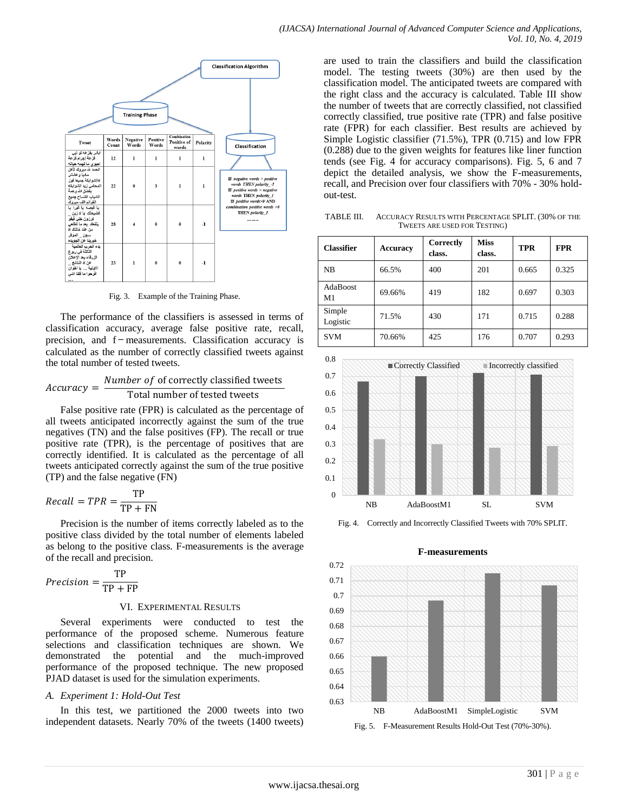

Fig. 3. Example of the Training Phase.

The performance of the classifiers is assessed in terms of classification accuracy, average false positive rate, recall, precision, and f − measurements. Classification accuracy is calculated as the number of correctly classified tweets against the total number of tested tweets.

#### $Accuracy =$ Number of of correctly classified tweets Total number of tested tweets

False positive rate (FPR) is calculated as the percentage of all tweets anticipated incorrectly against the sum of the true negatives (TN) and the false positives (FP). The recall or true positive rate (TPR), is the percentage of positives that are correctly identified. It is calculated as the percentage of all tweets anticipated correctly against the sum of the true positive (TP) and the false negative (FN)

$$
Recall = TPR = \frac{TP}{TP + FN}
$$

Precision is the number of items correctly labeled as to the positive class divided by the total number of elements labeled as belong to the positive class. F-measurements is the average of the recall and precision.

$$
Precision = \frac{TP}{TP + FP}
$$

#### VI. EXPERIMENTAL RESULTS

Several experiments were conducted to test the performance of the proposed scheme. Numerous feature selections and classification techniques are shown. We demonstrated the potential and the much-improved potential and the much-improved performance of the proposed technique. The new proposed PJAD dataset is used for the simulation experiments.

#### *A. Experiment 1: Hold-Out Test*

In this test, we partitioned the 2000 tweets into two independent datasets. Nearly 70% of the tweets (1400 tweets) are used to train the classifiers and build the classification model. The testing tweets (30%) are then used by the classification model. The anticipated tweets are compared with the right class and the accuracy is calculated. Table III show the number of tweets that are correctly classified, not classified correctly classified, true positive rate (TPR) and false positive rate (FPR) for each classifier. Best results are achieved by Simple Logistic classifier (71.5%), TPR (0.715) and low FPR (0.288) due to the given weights for features like liner function tends (see Fig. 4 for accuracy comparisons). Fig. 5, 6 and 7 depict the detailed analysis, we show the F-measurements, recall, and Precision over four classifiers with 70% - 30% holdout-test.

TABLE III. ACCURACY RESULTS WITH PERCENTAGE SPLIT. (30% OF THE TWEETS ARE USED FOR TESTING)

| <b>Classifier</b>     | <b>Accuracy</b> | Correctly<br>class. | <b>Miss</b><br>class. | <b>TPR</b> | <b>FPR</b> |
|-----------------------|-----------------|---------------------|-----------------------|------------|------------|
| <b>NB</b>             | 66.5%           | 400                 | 201                   | 0.665      | 0.325      |
| <b>AdaBoost</b><br>M1 | 69.66%          | 419                 | 182                   | 0.697      | 0.303      |
| Simple<br>Logistic    | 71.5%           | 430                 | 171                   | 0.715      | 0.288      |
| <b>SVM</b>            | 70.66%          | 425                 | 176                   | 0.707      | 0.293      |



Fig. 4. Correctly and Incorrectly Classified Tweets with 70% SPLIT.



# **F-measurements**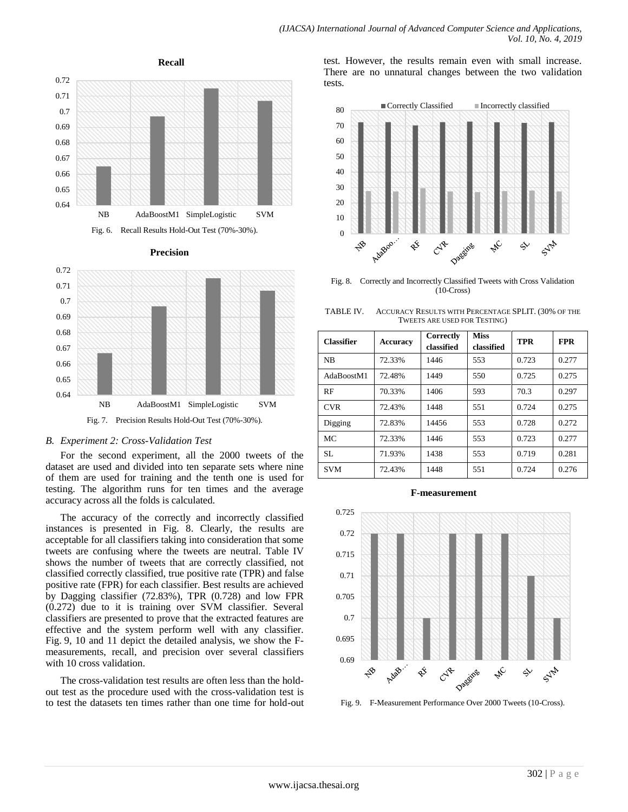

For the second experiment, all the 2000 tweets of the dataset are used and divided into ten separate sets where nine of them are used for training and the tenth one is used for testing. The algorithm runs for ten times and the average accuracy across all the folds is calculated.

The accuracy of the correctly and incorrectly classified instances is presented in Fig. 8. Clearly, the results are acceptable for all classifiers taking into consideration that some tweets are confusing where the tweets are neutral. Table IV shows the number of tweets that are correctly classified, not classified correctly classified, true positive rate (TPR) and false positive rate (FPR) for each classifier. Best results are achieved by Dagging classifier (72.83%), TPR (0.728) and low FPR (0.272) due to it is training over SVM classifier. Several classifiers are presented to prove that the extracted features are effective and the system perform well with any classifier. Fig. 9, 10 and 11 depict the detailed analysis, we show the Fmeasurements, recall, and precision over several classifiers with 10 cross validation.

The cross-validation test results are often less than the holdout test as the procedure used with the cross-validation test is to test the datasets ten times rather than one time for hold-out

test. However, the results remain even with small increase. There are no unnatural changes between the two validation tests.



Fig. 8. Correctly and Incorrectly Classified Tweets with Cross Validation (10-Cross)

TABLE IV. ACCURACY RESULTS WITH PERCENTAGE SPLIT. (30% OF THE TWEETS ARE USED FOR TESTING)

| <b>Classifier</b> | <b>Accuracy</b> | Correctly<br>classified | <b>Miss</b><br>classified | <b>TPR</b> | <b>FPR</b> |
|-------------------|-----------------|-------------------------|---------------------------|------------|------------|
| <b>NB</b>         | 72.33%          | 1446                    | 553                       | 0.723      | 0.277      |
| AdaBoostM1        | 72.48%          | 1449                    | 550                       | 0.725      | 0.275      |
| RF                | 70.33%          | 1406                    | 593                       | 70.3       | 0.297      |
| <b>CVR</b>        | 72.43%          | 1448                    | 551                       | 0.724      | 0.275      |
| Digging           | 72.83%          | 14456                   | 553                       | 0.728      | 0.272      |
| MC                | 72.33%          | 1446                    | 553                       | 0.723      | 0.277      |
| SL.               | 71.93%          | 1438                    | 553                       | 0.719      | 0.281      |
| <b>SVM</b>        | 72.43%          | 1448                    | 551                       | 0.724      | 0.276      |

#### **F-measurement**



Fig. 9. F-Measurement Performance Over 2000 Tweets (10-Cross).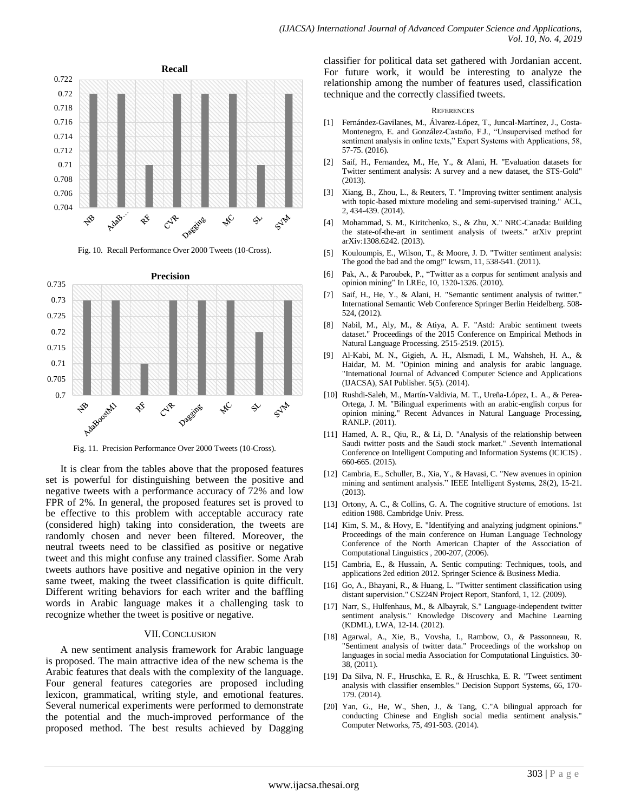

Fig. 10. Recall Performance Over 2000 Tweets (10-Cross).



Fig. 11. Precision Performance Over 2000 Tweets (10-Cross).

It is clear from the tables above that the proposed features set is powerful for distinguishing between the positive and negative tweets with a performance accuracy of 72% and low FPR of 2%. In general, the proposed features set is proved to be effective to this problem with acceptable accuracy rate (considered high) taking into consideration, the tweets are randomly chosen and never been filtered. Moreover, the neutral tweets need to be classified as positive or negative tweet and this might confuse any trained classifier. Some Arab tweets authors have positive and negative opinion in the very same tweet, making the tweet classification is quite difficult. Different writing behaviors for each writer and the baffling words in Arabic language makes it a challenging task to recognize whether the tweet is positive or negative.

#### VII.CONCLUSION

A new sentiment analysis framework for Arabic language is proposed. The main attractive idea of the new schema is the Arabic features that deals with the complexity of the language. Four general features categories are proposed including lexicon, grammatical, writing style, and emotional features. Several numerical experiments were performed to demonstrate the potential and the much-improved performance of the proposed method. The best results achieved by Dagging

classifier for political data set gathered with Jordanian accent. For future work, it would be interesting to analyze the relationship among the number of features used, classification technique and the correctly classified tweets.

#### **REFERENCES**

- [1] Fernández-Gavilanes, M., Álvarez-López, T., Juncal-Martínez, J., Costa-Montenegro, E. and González-Castaño, F.J., "Unsupervised method for sentiment analysis in online texts," Expert Systems with Applications, 58, 57-75. (2016).
- [2] Saif, H., Fernandez, M., He, Y., & Alani, H. "Evaluation datasets for Twitter sentiment analysis: A survey and a new dataset, the STS-Gold" (2013).
- [3] Xiang, B., Zhou, L., & Reuters, T. "Improving twitter sentiment analysis with topic-based mixture modeling and semi-supervised training." ACL, 2, 434-439. (2014).
- [4] Mohammad, S. M., Kiritchenko, S., & Zhu, X." NRC-Canada: Building the state-of-the-art in sentiment analysis of tweets." arXiv preprint arXiv:1308.6242. (2013).
- [5] Kouloumpis, E., Wilson, T., & Moore, J. D. "Twitter sentiment analysis: The good the bad and the omg!" Icwsm, 11, 538-541. (2011).
- [6] Pak, A., & Paroubek, P., "Twitter as a corpus for sentiment analysis and opinion mining" In LREc, 10, 1320-1326. (2010).
- [7] Saif, H., He, Y., & Alani, H. "Semantic sentiment analysis of twitter." International Semantic Web Conference Springer Berlin Heidelberg. 508- 524, (2012).
- [8] Nabil, M., Aly, M., & Atiya, A. F. "Astd: Arabic sentiment tweets dataset." Proceedings of the 2015 Conference on Empirical Methods in Natural Language Processing. 2515-2519. (2015).
- [9] Al-Kabi, M. N., Gigieh, A. H., Alsmadi, I. M., Wahsheh, H. A., & Haidar, M. M. "Opinion mining and analysis for arabic language. "International Journal of Advanced Computer Science and Applications (IJACSA), SAI Publisher. 5(5). (2014).
- [10] Rushdi-Saleh, M., Martín-Valdivia, M. T., Ureña-López, L. A., & Perea-Ortega, J. M. "Bilingual experiments with an arabic-english corpus for opinion mining." Recent Advances in Natural Language Processing, RANLP. (2011).
- [11] Hamed, A. R., Qiu, R., & Li, D. "Analysis of the relationship between Saudi twitter posts and the Saudi stock market." .Seventh International Conference on Intelligent Computing and Information Systems (ICICIS) . 660-665. (2015).
- [12] Cambria, E., Schuller, B., Xia, Y., & Havasi, C. "New avenues in opinion mining and sentiment analysis." IEEE Intelligent Systems, 28(2), 15-21.  $(2013)$
- [13] Ortony, A. C., & Collins, G. A. The cognitive structure of emotions. 1st edition 1988. Cambridge Univ. Press.
- [14] Kim, S. M., & Hovy, E. "Identifying and analyzing judgment opinions." Proceedings of the main conference on Human Language Technology Conference of the North American Chapter of the Association of Computational Linguistics , 200-207, (2006).
- [15] Cambria, E., & Hussain, A. Sentic computing: Techniques, tools, and applications 2ed edition 2012. Springer Science & Business Media.
- [16] Go, A., Bhayani, R., & Huang, L. "Twitter sentiment classification using distant supervision." CS224N Project Report, Stanford, 1, 12. (2009).
- [17] Narr, S., Hulfenhaus, M., & Albayrak, S." Language-independent twitter sentiment analysis." Knowledge Discovery and Machine Learning (KDML), LWA, 12-14. (2012).
- [18] Agarwal, A., Xie, B., Vovsha, I., Rambow, O., & Passonneau, R. "Sentiment analysis of twitter data." Proceedings of the workshop on languages in social media Association for Computational Linguistics. 30- 38, (2011).
- [19] Da Silva, N. F., Hruschka, E. R., & Hruschka, E. R. "Tweet sentiment analysis with classifier ensembles." Decision Support Systems, 66, 170- 179. (2014).
- [20] Yan, G., He, W., Shen, J., & Tang, C."A bilingual approach for conducting Chinese and English social media sentiment analysis." Computer Networks, 75, 491-503. (2014).